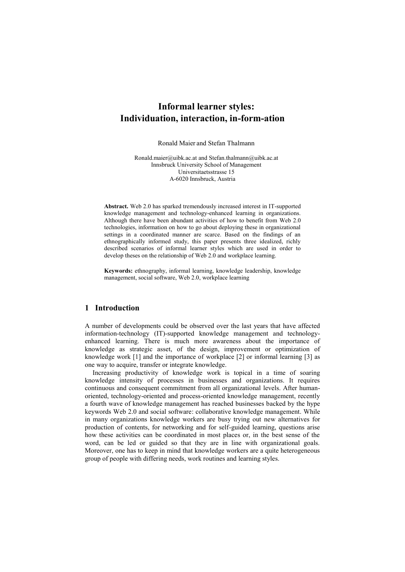# **Informal learner styles: Individuation, interaction, in-form-ation**

Ronald Maier and Stefan Thalmann

Ronald.maier@uibk.ac.at and Stefan.thalmann@uibk.ac.at Innsbruck University School of Management Universitaetsstrasse 15 A-6020 Innsbruck, Austria

**Abstract.** Web 2.0 has sparked tremendously increased interest in IT-supported knowledge management and technology-enhanced learning in organizations. Although there have been abundant activities of how to benefit from Web 2.0 technologies, information on how to go about deploying these in organizational settings in a coordinated manner are scarce. Based on the findings of an ethnographically informed study, this paper presents three idealized, richly described scenarios of informal learner styles which are used in order to develop theses on the relationship of Web 2.0 and workplace learning.

**Keywords:** ethnography, informal learning, knowledge leadership, knowledge management, social software, Web 2.0, workplace learning

# **1 Introduction**

A number of developments could be observed over the last years that have affected information-technology (IT)-supported knowledge management and technologyenhanced learning. There is much more awareness about the importance of knowledge as strategic asset, of the design, improvement or optimization of knowledge work [1] and the importance of workplace [2] or informal learning [3] as one way to acquire, transfer or integrate knowledge.

Increasing productivity of knowledge work is topical in a time of soaring knowledge intensity of processes in businesses and organizations. It requires continuous and consequent commitment from all organizational levels. After humanoriented, technology-oriented and process-oriented knowledge management, recently a fourth wave of knowledge management has reached businesses backed by the hype keywords Web 2.0 and social software: collaborative knowledge management. While in many organizations knowledge workers are busy trying out new alternatives for production of contents, for networking and for self-guided learning, questions arise how these activities can be coordinated in most places or, in the best sense of the word, can be led or guided so that they are in line with organizational goals. Moreover, one has to keep in mind that knowledge workers are a quite heterogeneous group of people with differing needs, work routines and learning styles.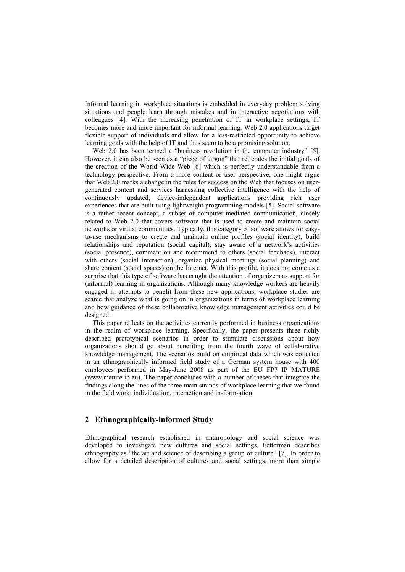Informal learning in workplace situations is embedded in everyday problem solving situations and people learn through mistakes and in interactive negotiations with colleagues [4]. With the increasing penetration of IT in workplace settings, IT becomes more and more important for informal learning. Web 2.0 applications target flexible support of individuals and allow for a less-restricted opportunity to achieve learning goals with the help of IT and thus seem to be a promising solution.

Web 2.0 has been termed a "business revolution in the computer industry" [5]. However, it can also be seen as a "piece of jargon" that reiterates the initial goals of the creation of the World Wide Web [6] which is perfectly understandable from a technology perspective. From a more content or user perspective, one might argue that Web 2.0 marks a change in the rules for success on the Web that focuses on usergenerated content and services harnessing collective intelligence with the help of continuously updated, device-independent applications providing rich user experiences that are built using lightweight programming models [5]. Social software is a rather recent concept, a subset of computer-mediated communication, closely related to Web 2.0 that covers software that is used to create and maintain social networks or virtual communities. Typically, this category of software allows for easyto-use mechanisms to create and maintain online profiles (social identity), build relationships and reputation (social capital), stay aware of a network"s activities (social presence), comment on and recommend to others (social feedback), interact with others (social interaction), organize physical meetings (social planning) and share content (social spaces) on the Internet. With this profile, it does not come as a surprise that this type of software has caught the attention of organizers as support for (informal) learning in organizations. Although many knowledge workers are heavily engaged in attempts to benefit from these new applications, workplace studies are scarce that analyze what is going on in organizations in terms of workplace learning and how guidance of these collaborative knowledge management activities could be designed.

This paper reflects on the activities currently performed in business organizations in the realm of workplace learning. Specifically, the paper presents three richly described prototypical scenarios in order to stimulate discussions about how organizations should go about benefiting from the fourth wave of collaborative knowledge management. The scenarios build on empirical data which was collected in an ethnographically informed field study of a German system house with 400 employees performed in May-June 2008 as part of the EU FP7 IP MATURE (www.mature-ip.eu). The paper concludes with a number of theses that integrate the findings along the lines of the three main strands of workplace learning that we found in the field work: individuation, interaction and in-form-ation.

# **2 Ethnographically-informed Study**

Ethnographical research established in anthropology and social science was developed to investigate new cultures and social settings. Fetterman describes ethnography as "the art and science of describing a group or culture" [7]. In order to allow for a detailed description of cultures and social settings, more than simple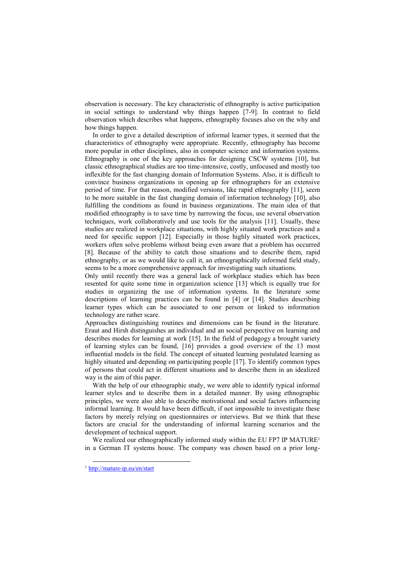observation is necessary. The key characteristic of ethnography is active participation in social settings to understand why things happen [7-9]. In contrast to field observation which describes what happens, ethnography focuses also on the why and how things happen.

In order to give a detailed description of informal learner types, it seemed that the characteristics of ethnography were appropriate. Recently, ethnography has become more popular in other disciplines, also in computer science and information systems. Ethnography is one of the key approaches for designing CSCW systems [10], but classic ethnographical studies are too time-intensive, costly, unfocused and mostly too inflexible for the fast changing domain of Information Systems. Also, it is difficult to convince business organizations in opening up for ethnographers for an extensive period of time. For that reason, modified versions, like rapid ethnography [11], seem to be more suitable in the fast changing domain of information technology [10], also fulfilling the conditions as found in business organizations. The main idea of that modified ethnography is to save time by narrowing the focus, use several observation techniques, work collaboratively and use tools for the analysis [11]. Usually, these studies are realized in workplace situations, with highly situated work practices and a need for specific support [12]. Especially in those highly situated work practices, workers often solve problems without being even aware that a problem has occurred [8]. Because of the ability to catch those situations and to describe them, rapid ethnography, or as we would like to call it, an ethnographically informed field study, seems to be a more comprehensive approach for investigating such situations.

Only until recently there was a general lack of workplace studies which has been resented for quite some time in organization science [13] which is equally true for studies in organizing the use of information systems. In the literature some descriptions of learning practices can be found in [4] or [14]. Studies describing learner types which can be associated to one person or linked to information technology are rather scare.

Approaches distinguishing routines and dimensions can be found in the literature. Eraut and Hirsh distinguishes an individual and an social perspective on learning and describes modes for learning at work [15]. In the field of pedagogy a brought variety of learning styles can be found, [16] provides a good overview of the 13 most influential models in the field. The concept of situated learning postulated learning as highly situated and depending on participating people [17]. To identify common types of persons that could act in different situations and to describe them in an idealized way is the aim of this paper.

With the help of our ethnographic study, we were able to identify typical informal learner styles and to describe them in a detailed manner. By using ethnographic principles, we were also able to describe motivational and social factors influencing informal learning. It would have been difficult, if not impossible to investigate these factors by merely relying on questionnaires or interviews. But we think that these factors are crucial for the understanding of informal learning scenarios and the development of technical support.

We realized our ethnographically informed study within the EU FP7 IP MATURE<sup>1</sup> in a German IT systems house. The company was chosen based on a prior long-

1

<sup>1</sup> <http://mature-ip.eu/en/start>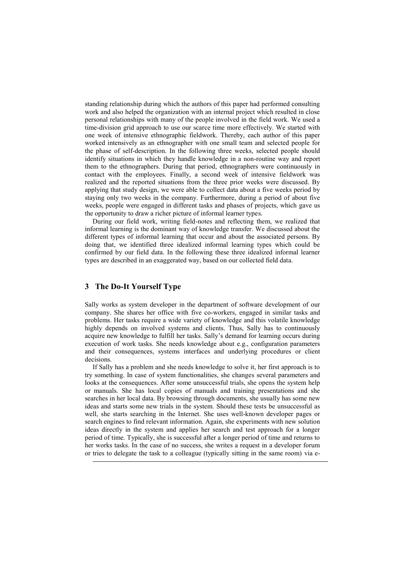standing relationship during which the authors of this paper had performed consulting work and also helped the organization with an internal project which resulted in close personal relationships with many of the people involved in the field work. We used a time-division grid approach to use our scarce time more effectively. We started with one week of intensive ethnographic fieldwork. Thereby, each author of this paper worked intensively as an ethnographer with one small team and selected people for the phase of self-description. In the following three weeks, selected people should identify situations in which they handle knowledge in a non-routine way and report them to the ethnographers. During that period, ethnographers were continuously in contact with the employees. Finally, a second week of intensive fieldwork was realized and the reported situations from the three prior weeks were discussed. By applying that study design, we were able to collect data about a five weeks period by staying only two weeks in the company. Furthermore, during a period of about five weeks, people were engaged in different tasks and phases of projects, which gave us the opportunity to draw a richer picture of informal learner types.

During our field work, writing field-notes and reflecting them, we realized that informal learning is the dominant way of knowledge transfer. We discussed about the different types of informal learning that occur and about the associated persons. By doing that, we identified three idealized informal learning types which could be confirmed by our field data. In the following these three idealized informal learner types are described in an exaggerated way, based on our collected field data.

## **3 The Do-It Yourself Type**

-

Sally works as system developer in the department of software development of our company. She shares her office with five co-workers, engaged in similar tasks and problems. Her tasks require a wide variety of knowledge and this volatile knowledge highly depends on involved systems and clients. Thus, Sally has to continuously acquire new knowledge to fulfill her tasks. Sally"s demand for learning occurs during execution of work tasks. She needs knowledge about e.g., configuration parameters and their consequences, systems interfaces and underlying procedures or client decisions.

If Sally has a problem and she needs knowledge to solve it, her first approach is to try something. In case of system functionalities, she changes several parameters and looks at the consequences. After some unsuccessful trials, she opens the system help or manuals. She has local copies of manuals and training presentations and she searches in her local data. By browsing through documents, she usually has some new ideas and starts some new trials in the system. Should these tests be unsuccessful as well, she starts searching in the Internet. She uses well-known developer pages or search engines to find relevant information. Again, she experiments with new solution ideas directly in the system and applies her search and test approach for a longer period of time. Typically, she is successful after a longer period of time and returns to her works tasks. In the case of no success, she writes a request in a developer forum or tries to delegate the task to a colleague (typically sitting in the same room) via e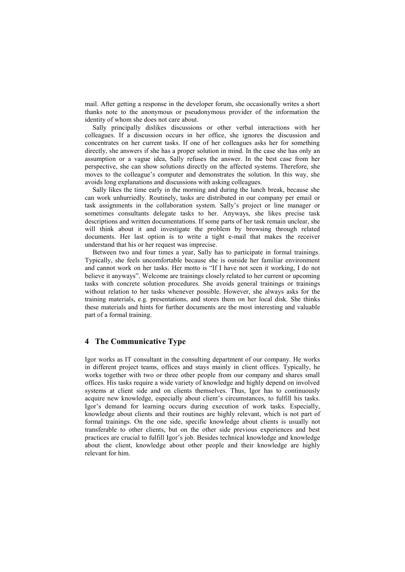mail. After getting a response in the developer forum, she occasionally writes a short thanks note to the anonymous or pseudonymous provider of the information the identity of whom she does not care about.

Sally principally dislikes discussions or other verbal interactions with her colleagues. If a discussion occurs in her office, she ignores the discussion and concentrates on her current tasks. If one of her colleagues asks her for something directly, she answers if she has a proper solution in mind. In the case she has only an assumption or a vague idea, Sally refuses the answer. In the best case from her perspective, she can show solutions directly on the affected systems. Therefore, she moves to the colleague's computer and demonstrates the solution. In this way, she avoids long explanations and discussions with asking colleagues.

Sally likes the time early in the morning and during the lunch break, because she can work unhurriedly. Routinely, tasks are distributed in our company per email or task assignments in the collaboration system. Sally"s project or line manager or sometimes consultants delegate tasks to her. Anyways, she likes precise task descriptions and written documentations. If some parts of her task remain unclear, she will think about it and investigate the problem by browsing through related documents. Her last option is to write a tight e-mail that makes the receiver understand that his or her request was imprecise.

Between two and four times a year, Sally has to participate in formal trainings. Typically, she feels uncomfortable because she is outside her familiar environment and cannot work on her tasks. Her motto is "If I have not seen it working, I do not believe it anyways". Welcome are trainings closely related to her current or upcoming tasks with concrete solution procedures. She avoids general trainings or trainings without relation to her tasks whenever possible. However, she always asks for the training materials, e.g. presentations, and stores them on her local disk. She thinks these materials and hints for further documents are the most interesting and valuable part of a formal training.

### **4 The Communicative Type**

Igor works as IT consultant in the consulting department of our company. He works in different project teams, offices and stays mainly in client offices. Typically, he works together with two or three other people from our company and shares small offices. His tasks require a wide variety of knowledge and highly depend on involved systems at client side and on clients themselves. Thus, Igor has to continuously acquire new knowledge, especially about client"s circumstances, to fulfill his tasks. Igor"s demand for learning occurs during execution of work tasks. Especially, knowledge about clients and their routines are highly relevant, which is not part of formal trainings. On the one side, specific knowledge about clients is usually not transferable to other clients, but on the other side previous experiences and best practices are crucial to fulfill Igor"s job. Besides technical knowledge and knowledge about the client, knowledge about other people and their knowledge are highly relevant for him.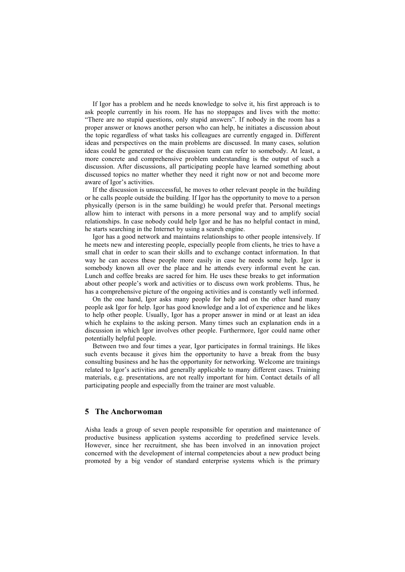If Igor has a problem and he needs knowledge to solve it, his first approach is to ask people currently in his room. He has no stoppages and lives with the motto: "There are no stupid questions, only stupid answers". If nobody in the room has a proper answer or knows another person who can help, he initiates a discussion about the topic regardless of what tasks his colleagues are currently engaged in. Different ideas and perspectives on the main problems are discussed. In many cases, solution ideas could be generated or the discussion team can refer to somebody. At least, a more concrete and comprehensive problem understanding is the output of such a discussion. After discussions, all participating people have learned something about discussed topics no matter whether they need it right now or not and become more aware of Igor's activities.

If the discussion is unsuccessful, he moves to other relevant people in the building or he calls people outside the building. If Igor has the opportunity to move to a person physically (person is in the same building) he would prefer that. Personal meetings allow him to interact with persons in a more personal way and to amplify social relationships. In case nobody could help Igor and he has no helpful contact in mind, he starts searching in the Internet by using a search engine.

Igor has a good network and maintains relationships to other people intensively. If he meets new and interesting people, especially people from clients, he tries to have a small chat in order to scan their skills and to exchange contact information. In that way he can access these people more easily in case he needs some help. Igor is somebody known all over the place and he attends every informal event he can. Lunch and coffee breaks are sacred for him. He uses these breaks to get information about other people"s work and activities or to discuss own work problems. Thus, he has a comprehensive picture of the ongoing activities and is constantly well informed.

On the one hand, Igor asks many people for help and on the other hand many people ask Igor for help. Igor has good knowledge and a lot of experience and he likes to help other people. Usually, Igor has a proper answer in mind or at least an idea which he explains to the asking person. Many times such an explanation ends in a discussion in which Igor involves other people. Furthermore, Igor could name other potentially helpful people.

Between two and four times a year, Igor participates in formal trainings. He likes such events because it gives him the opportunity to have a break from the busy consulting business and he has the opportunity for networking. Welcome are trainings related to Igor"s activities and generally applicable to many different cases. Training materials, e.g. presentations, are not really important for him. Contact details of all participating people and especially from the trainer are most valuable.

# **5 The Anchorwoman**

Aisha leads a group of seven people responsible for operation and maintenance of productive business application systems according to predefined service levels. However, since her recruitment, she has been involved in an innovation project concerned with the development of internal competencies about a new product being promoted by a big vendor of standard enterprise systems which is the primary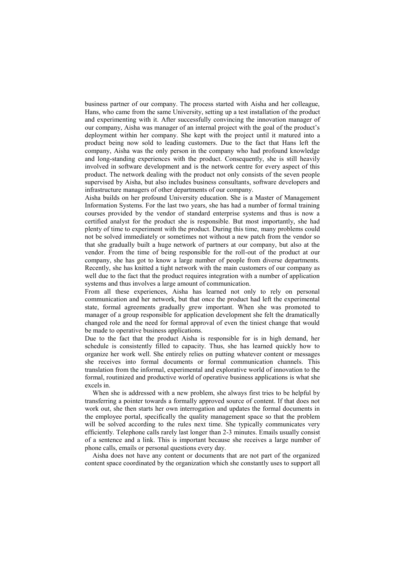business partner of our company. The process started with Aisha and her colleague, Hans, who came from the same University, setting up a test installation of the product and experimenting with it. After successfully convincing the innovation manager of our company, Aisha was manager of an internal project with the goal of the product"s deployment within her company. She kept with the project until it matured into a product being now sold to leading customers. Due to the fact that Hans left the company, Aisha was the only person in the company who had profound knowledge and long-standing experiences with the product. Consequently, she is still heavily involved in software development and is the network centre for every aspect of this product. The network dealing with the product not only consists of the seven people supervised by Aisha, but also includes business consultants, software developers and infrastructure managers of other departments of our company.

Aisha builds on her profound University education. She is a Master of Management Information Systems. For the last two years, she has had a number of formal training courses provided by the vendor of standard enterprise systems and thus is now a certified analyst for the product she is responsible. But most importantly, she had plenty of time to experiment with the product. During this time, many problems could not be solved immediately or sometimes not without a new patch from the vendor so that she gradually built a huge network of partners at our company, but also at the vendor. From the time of being responsible for the roll-out of the product at our company, she has got to know a large number of people from diverse departments. Recently, she has knitted a tight network with the main customers of our company as well due to the fact that the product requires integration with a number of application systems and thus involves a large amount of communication.

From all these experiences, Aisha has learned not only to rely on personal communication and her network, but that once the product had left the experimental state, formal agreements gradually grew important. When she was promoted to manager of a group responsible for application development she felt the dramatically changed role and the need for formal approval of even the tiniest change that would be made to operative business applications.

Due to the fact that the product Aisha is responsible for is in high demand, her schedule is consistently filled to capacity. Thus, she has learned quickly how to organize her work well. She entirely relies on putting whatever content or messages she receives into formal documents or formal communication channels. This translation from the informal, experimental and explorative world of innovation to the formal, routinized and productive world of operative business applications is what she excels in.

When she is addressed with a new problem, she always first tries to be helpful by transferring a pointer towards a formally approved source of content. If that does not work out, she then starts her own interrogation and updates the formal documents in the employee portal, specifically the quality management space so that the problem will be solved according to the rules next time. She typically communicates very efficiently. Telephone calls rarely last longer than 2-3 minutes. Emails usually consist of a sentence and a link. This is important because she receives a large number of phone calls, emails or personal questions every day.

Aisha does not have any content or documents that are not part of the organized content space coordinated by the organization which she constantly uses to support all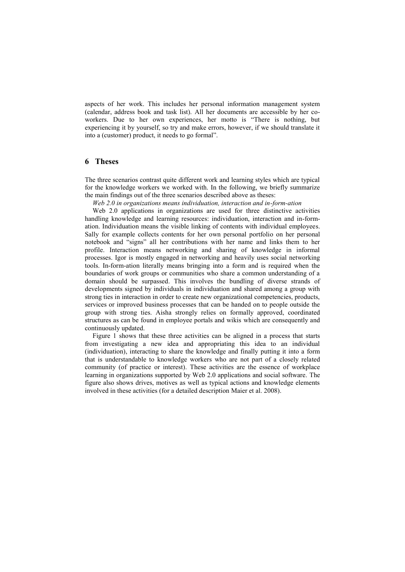aspects of her work. This includes her personal information management system (calendar, address book and task list). All her documents are accessible by her coworkers. Due to her own experiences, her motto is "There is nothing, but experiencing it by yourself, so try and make errors, however, if we should translate it into a (customer) product, it needs to go formal".

### **6 Theses**

The three scenarios contrast quite different work and learning styles which are typical for the knowledge workers we worked with. In the following, we briefly summarize the main findings out of the three scenarios described above as theses:

*Web 2.0 in organizations means individuation, interaction and in-form-ation*

Web 2.0 applications in organizations are used for three distinctive activities handling knowledge and learning resources: individuation, interaction and in-formation. Individuation means the visible linking of contents with individual employees. Sally for example collects contents for her own personal portfolio on her personal notebook and "signs" all her contributions with her name and links them to her profile. Interaction means networking and sharing of knowledge in informal processes. Igor is mostly engaged in networking and heavily uses social networking tools. In-form-ation literally means bringing into a form and is required when the boundaries of work groups or communities who share a common understanding of a domain should be surpassed. This involves the bundling of diverse strands of developments signed by individuals in individuation and shared among a group with strong ties in interaction in order to create new organizational competencies, products, services or improved business processes that can be handed on to people outside the group with strong ties. Aisha strongly relies on formally approved, coordinated structures as can be found in employee portals and wikis which are consequently and continuously updated.

Figure 1 shows that these three activities can be aligned in a process that starts from investigating a new idea and appropriating this idea to an individual (individuation), interacting to share the knowledge and finally putting it into a form that is understandable to knowledge workers who are not part of a closely related community (of practice or interest). These activities are the essence of workplace learning in organizations supported by Web 2.0 applications and social software. The figure also shows drives, motives as well as typical actions and knowledge elements involved in these activities (for a detailed description Maier et al. 2008).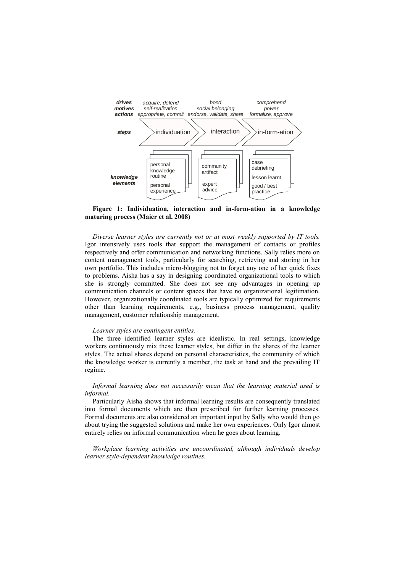

#### **Figure 1: Individuation, interaction and in-form-ation in a knowledge maturing process (Maier et al. 2008)**

*Diverse learner styles are currently not or at most weakly supported by IT tools.* Igor intensively uses tools that support the management of contacts or profiles respectively and offer communication and networking functions. Sally relies more on content management tools, particularly for searching, retrieving and storing in her own portfolio. This includes micro-blogging not to forget any one of her quick fixes to problems. Aisha has a say in designing coordinated organizational tools to which she is strongly committed. She does not see any advantages in opening up communication channels or content spaces that have no organizational legitimation. However, organizationally coordinated tools are typically optimized for requirements other than learning requirements, e.g., business process management, quality management, customer relationship management.

#### *Learner styles are contingent entities.*

The three identified learner styles are idealistic. In real settings, knowledge workers continuously mix these learner styles, but differ in the shares of the learner styles. The actual shares depend on personal characteristics, the community of which the knowledge worker is currently a member, the task at hand and the prevailing IT regime.

*Informal learning does not necessarily mean that the learning material used is informal.*

Particularly Aisha shows that informal learning results are consequently translated into formal documents which are then prescribed for further learning processes. Formal documents are also considered an important input by Sally who would then go about trying the suggested solutions and make her own experiences. Only Igor almost entirely relies on informal communication when he goes about learning.

*Workplace learning activities are uncoordinated, although individuals develop learner style-dependent knowledge routines.*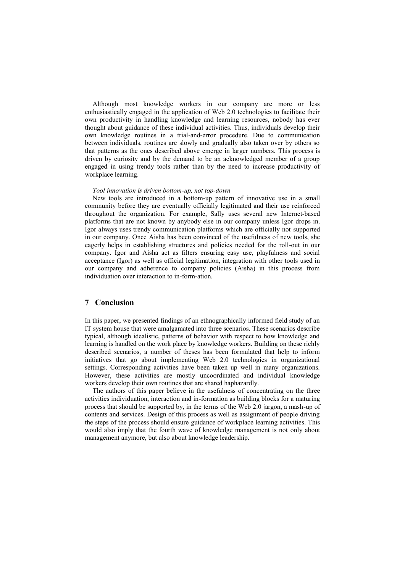Although most knowledge workers in our company are more or less enthusiastically engaged in the application of Web 2.0 technologies to facilitate their own productivity in handling knowledge and learning resources, nobody has ever thought about guidance of these individual activities. Thus, individuals develop their own knowledge routines in a trial-and-error procedure. Due to communication between individuals, routines are slowly and gradually also taken over by others so that patterns as the ones described above emerge in larger numbers. This process is driven by curiosity and by the demand to be an acknowledged member of a group engaged in using trendy tools rather than by the need to increase productivity of workplace learning.

#### *Tool innovation is driven bottom-up, not top-down*

New tools are introduced in a bottom-up pattern of innovative use in a small community before they are eventually officially legitimated and their use reinforced throughout the organization. For example, Sally uses several new Internet-based platforms that are not known by anybody else in our company unless Igor drops in. Igor always uses trendy communication platforms which are officially not supported in our company. Once Aisha has been convinced of the usefulness of new tools, she eagerly helps in establishing structures and policies needed for the roll-out in our company. Igor and Aisha act as filters ensuring easy use, playfulness and social acceptance (Igor) as well as official legitimation, integration with other tools used in our company and adherence to company policies (Aisha) in this process from individuation over interaction to in-form-ation.

### **7 Conclusion**

In this paper, we presented findings of an ethnographically informed field study of an IT system house that were amalgamated into three scenarios. These scenarios describe typical, although idealistic, patterns of behavior with respect to how knowledge and learning is handled on the work place by knowledge workers. Building on these richly described scenarios, a number of theses has been formulated that help to inform initiatives that go about implementing Web 2.0 technologies in organizational settings. Corresponding activities have been taken up well in many organizations. However, these activities are mostly uncoordinated and individual knowledge workers develop their own routines that are shared haphazardly.

The authors of this paper believe in the usefulness of concentrating on the three activities individuation, interaction and in-formation as building blocks for a maturing process that should be supported by, in the terms of the Web 2.0 jargon, a mash-up of contents and services. Design of this process as well as assignment of people driving the steps of the process should ensure guidance of workplace learning activities. This would also imply that the fourth wave of knowledge management is not only about management anymore, but also about knowledge leadership.